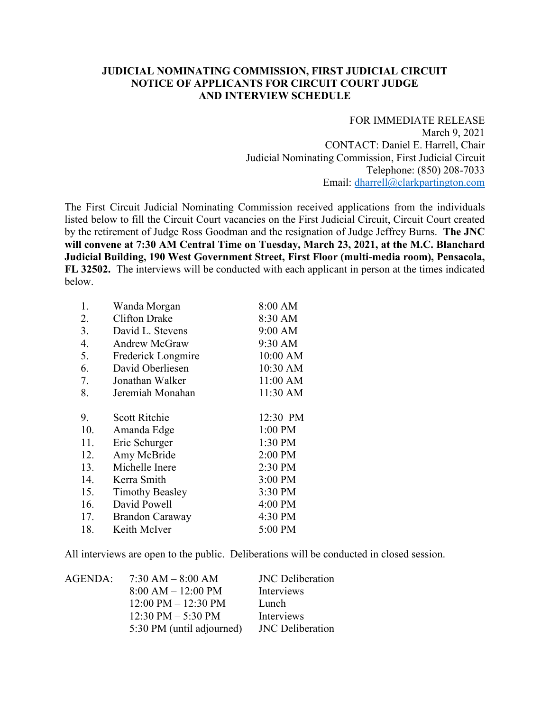## **JUDICIAL NOMINATING COMMISSION, FIRST JUDICIAL CIRCUIT NOTICE OF APPLICANTS FOR CIRCUIT COURT JUDGE AND INTERVIEW SCHEDULE**

FOR IMMEDIATE RELEASE March 9, 2021 CONTACT: Daniel E. Harrell, Chair Judicial Nominating Commission, First Judicial Circuit Telephone: (850) 208-7033 Email: dharrell@clarkpartington.com

The First Circuit Judicial Nominating Commission received applications from the individuals listed below to fill the Circuit Court vacancies on the First Judicial Circuit, Circuit Court created by the retirement of Judge Ross Goodman and the resignation of Judge Jeffrey Burns. **The JNC will convene at 7:30 AM Central Time on Tuesday, March 23, 2021, at the M.C. Blanchard Judicial Building, 190 West Government Street, First Floor (multi-media room), Pensacola, FL 32502.** The interviews will be conducted with each applicant in person at the times indicated below.

| 1.  | Wanda Morgan           | 8:00 AM   |
|-----|------------------------|-----------|
| 2.  | <b>Clifton Drake</b>   | 8:30 AM   |
| 3.  | David L. Stevens       | 9:00 AM   |
| 4.  | Andrew McGraw          | 9:30 AM   |
| 5.  | Frederick Longmire     | 10:00 AM  |
| 6.  | David Oberliesen       | 10:30 AM  |
| 7.  | Jonathan Walker        | 11:00 AM  |
| 8.  | Jeremiah Monahan       | 11:30 AM  |
|     |                        |           |
| 9.  | <b>Scott Ritchie</b>   | 12:30 PM  |
| 10. | Amanda Edge            | $1:00$ PM |
| 11. | Eric Schurger          | 1:30 PM   |
| 12. | Amy McBride            | 2:00 PM   |
| 13. | Michelle Inere         | 2:30 PM   |
| 14. | Kerra Smith            | 3:00 PM   |
| 15. | <b>Timothy Beasley</b> | 3:30 PM   |
| 16. | David Powell           | 4:00 PM   |
| 17. | <b>Brandon Caraway</b> | 4:30 PM   |
| 18. | Keith McIver           | 5:00 PM   |

All interviews are open to the public. Deliberations will be conducted in closed session.

| AGENDA: | $7:30 AM - 8:00 AM$                   | <b>JNC</b> Deliberation |
|---------|---------------------------------------|-------------------------|
|         | $8:00 AM - 12:00 PM$                  | Interviews              |
|         | $12:00 \text{ PM} - 12:30 \text{ PM}$ | Lunch                   |
|         | $12:30 \text{ PM} - 5:30 \text{ PM}$  | Interviews              |
|         | 5:30 PM (until adjourned)             | <b>JNC</b> Deliberation |